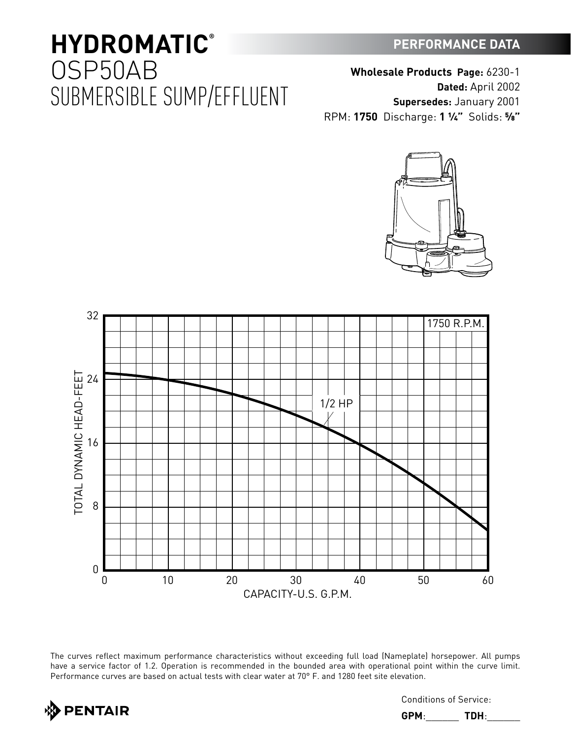### **PERFORMANCE DATA**

## **HYDROMATIC®** OSP50AB SUBMERSIBLE SUMP/EFFLUENT

**Wholesale Products Page:** 6230-1 **Dated:** April 2002 **Supersedes:** January 2001 RPM: **1750** Discharge: **1 ¼"** Solids: **⅝"**





The curves reflect maximum performance characteristics without exceeding full load (Nameplate) horsepower. All pumps have a service factor of 1.2. Operation is recommended in the bounded area with operational point within the curve limit. Performance curves are based on actual tests with clear water at 70° F. and 1280 feet site elevation.



Conditions of Service:

**GPM**:\_\_\_\_\_\_ **TDH**:\_\_\_\_\_\_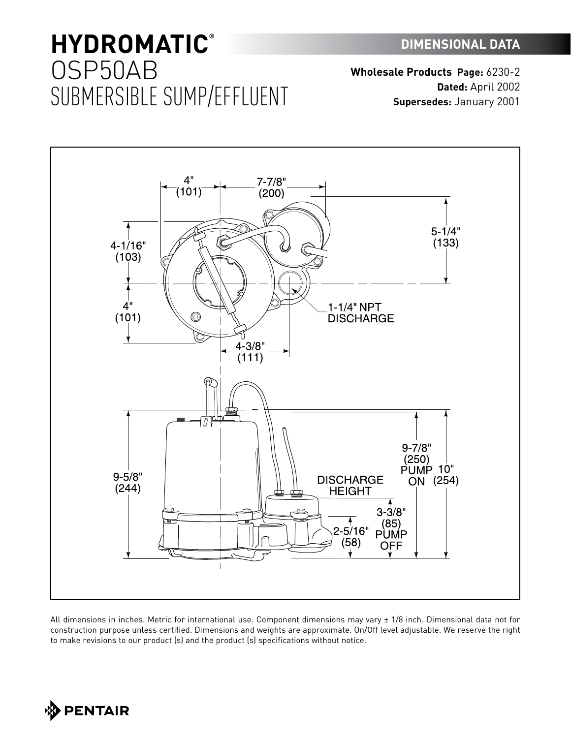# **HYDROMATIC®** OSP50AB SUBMERSIBLE SUMP/EFFLUENT

**Wholesale Products Page:** 6230-2 **Dated:** April 2002 **Supersedes:** January 2001



All dimensions in inches. Metric for international use. Component dimensions may vary ± 1/8 inch. Dimensional data not for construction purpose unless certified. Dimensions and weights are approximate. On/Off level adjustable. We reserve the right to make revisions to our product (s) and the product (s) specifications without notice.

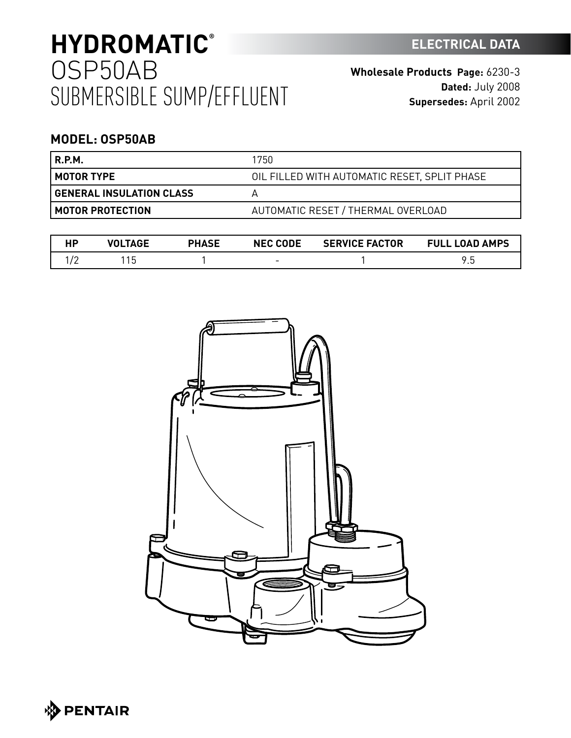# **HYDROMATIC ELECTRICAL DATA ®** OSP50AB SUBMERSIBLE SUMP/EFFLUENT

### **MODEL: OSP50AB**

| R.P.M.                          | 1750                                         |
|---------------------------------|----------------------------------------------|
| <b>MOTOR TYPE</b>               | OIL FILLED WITH AUTOMATIC RESET, SPLIT PHASE |
| <b>GENERAL INSULATION CLASS</b> |                                              |
| MOTOR PROTECTION                | AUTOMATIC RESET / THERMAL OVERLOAD           |

|          | 'ACE | <b>PHASE</b> | <b>NEC CODE</b>          | <b>SERVICE FACTOR</b> | <b>LOAD AMPS</b><br>FULL |
|----------|------|--------------|--------------------------|-----------------------|--------------------------|
| <u>_</u> | ں ו  |              | $\overline{\phantom{0}}$ |                       | ີ<br>ن. ا                |



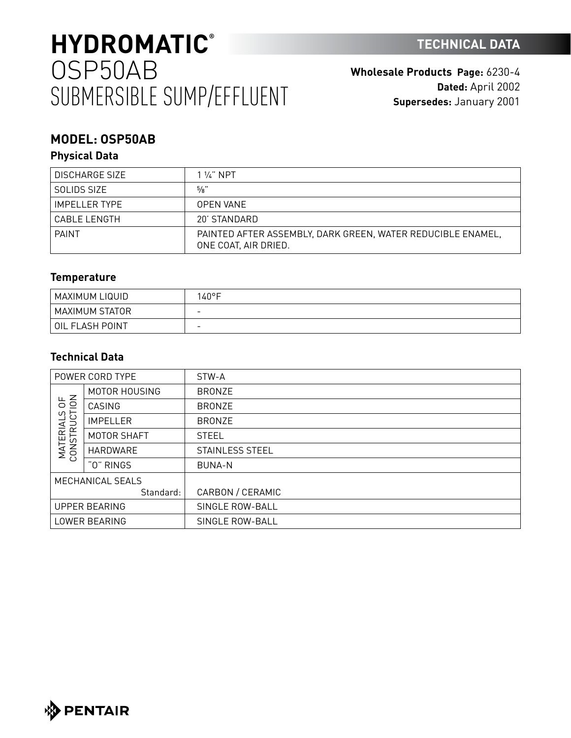# **HYDROMATIC TECHNICAL DATA ®** OSP50AB SUBMERSIBLE SUMP/EFFLUENT

**Wholesale Products Page:** 6230-4 **Dated:** April 2002 **Supersedes:** January 2001

## **MODEL: OSP50AB**

### **Physical Data**

| <b>DISCHARGE SIZE</b> | 1 $\frac{1}{4}$ NPT                                                                 |
|-----------------------|-------------------------------------------------------------------------------------|
| SOLIDS SIZE           | 5/8"                                                                                |
| IMPFI I FR TYPF       | <b>OPEN VANE</b>                                                                    |
| CABLE LENGTH          | 20' STANDARD                                                                        |
| PAINT                 | PAINTED AFTER ASSEMBLY, DARK GREEN, WATER REDUCIBLE ENAMEL,<br>ONE COAT, AIR DRIED. |

### **Temperature**

| ' MAXIMUM LIQUID | 40°F                     |
|------------------|--------------------------|
| MAXIMUM STATOR   | $\overline{\phantom{0}}$ |
| OIL FLASH POINT  | $\overline{\phantom{0}}$ |

### **Technical Data**

| POWER CORD TYPE                                                  |                 | STW-A            |
|------------------------------------------------------------------|-----------------|------------------|
| $\frac{4}{5}$<br>ഗ<br><b>RUCT</b><br><b>MATERIAL</b><br>CONSTRUC | MOTOR HOUSING   | <b>BRONZE</b>    |
|                                                                  | CASING          | <b>BRONZE</b>    |
|                                                                  | <b>IMPELLER</b> | <b>BRONZE</b>    |
|                                                                  | MOTOR SHAFT     | <b>STEEL</b>     |
|                                                                  | HARDWARE        | STAINLESS STEEL  |
|                                                                  | "0" RINGS       | <b>BUNA-N</b>    |
| MECHANICAL SEALS                                                 |                 |                  |
|                                                                  | Standard:       | CARBON / CERAMIC |
| <b>UPPER BEARING</b>                                             |                 | SINGLE ROW-BALL  |
| LOWER BEARING                                                    |                 | SINGLE ROW-BALL  |

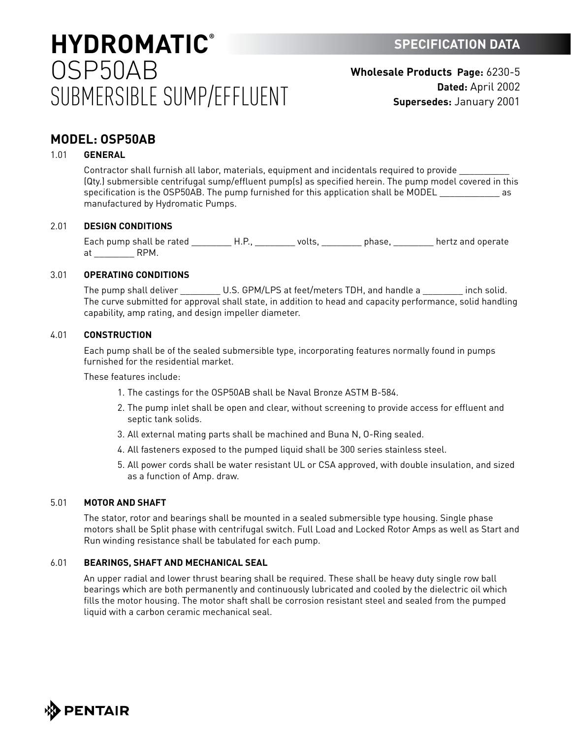# **HYDROMATIC SPECIFICATION DATA ®** OSP50AB SUBMERSIBLE SUMP/EFFLUENT

**Wholesale Products Page:** 6230-5 **Dated:** April 2002 **Supersedes:** January 2001

### **MODEL: OSP50AB**

#### 1.01 **GENERAL**

Contractor shall furnish all labor, materials, equipment and incidentals required to provide \_\_\_\_\_\_\_\_\_\_ (Qty.) submersible centrifugal sump/effluent pump(s) as specified herein. The pump model covered in this specification is the OSP50AB. The pump furnished for this application shall be MODEL as as manufactured by Hydromatic Pumps.

#### 2.01 **DESIGN CONDITIONS**

Each pump shall be rated \_\_\_\_\_\_\_\_\_\_H.P., \_\_\_\_\_\_\_\_\_ volts, \_\_\_\_\_\_\_\_\_\_ phase, \_\_\_\_\_\_\_\_\_ hertz and operate at RPM.

#### 3.01 **OPERATING CONDITIONS**

The pump shall deliver \_\_\_\_\_\_\_\_\_\_ U.S. GPM/LPS at feet/meters TDH, and handle a \_\_\_\_\_\_\_\_\_ inch solid. The curve submitted for approval shall state, in addition to head and capacity performance, solid handling capability, amp rating, and design impeller diameter.

#### 4.01 **CONSTRUCTION**

Each pump shall be of the sealed submersible type, incorporating features normally found in pumps furnished for the residential market.

These features include:

- 1. The castings for the OSP50AB shall be Naval Bronze ASTM B-584.
- 2. The pump inlet shall be open and clear, without screening to provide access for effluent and septic tank solids.
- 3. All external mating parts shall be machined and Buna N, O-Ring sealed.
- 4. All fasteners exposed to the pumped liquid shall be 300 series stainless steel.
- 5. All power cords shall be water resistant UL or CSA approved, with double insulation, and sized as a function of Amp. draw.

#### 5.01 **MOTOR AND SHAFT**

The stator, rotor and bearings shall be mounted in a sealed submersible type housing. Single phase motors shall be Split phase with centrifugal switch. Full Load and Locked Rotor Amps as well as Start and Run winding resistance shall be tabulated for each pump.

#### 6.01 **BEARINGS, SHAFT AND MECHANICAL SEAL**

An upper radial and lower thrust bearing shall be required. These shall be heavy duty single row ball bearings which are both permanently and continuously lubricated and cooled by the dielectric oil which fills the motor housing. The motor shaft shall be corrosion resistant steel and sealed from the pumped liquid with a carbon ceramic mechanical seal.